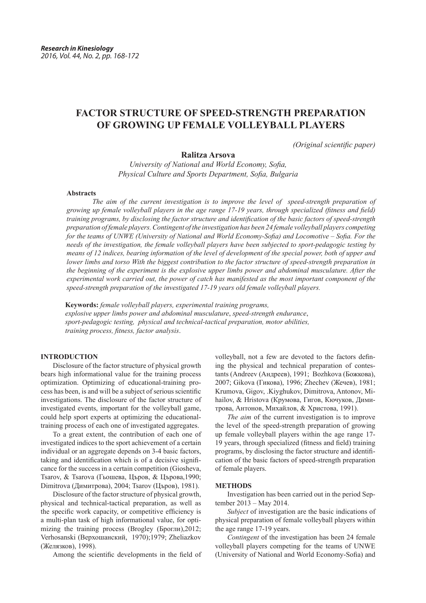# **FACTOR STRUCTURE OF SPEED-STRENGTH PREPARATION OF GROWING UP FEMALE VOLLEYBALL PLAYERS**

*(Original scientific paper)*

# **Ralitza Arsova**

*University of National and World Economy, Sofia, Physical Culture and Sports Department, Sofia, Bulgaria*

# **Abstracts**

*The aim of the current investigation is to improve the level of speed-strength preparation of growing up female volleyball players in the age range 17-19 years, through specialized (fitness and field) training programs, by disclosing the factor structure and identification of the basic factors of speed-strength preparation of female players. Contingent of the investigation has been 24 female volleyball players competing for the teams of UNWE (University of National and World Economy-Sofia) and Locomotive – Sofia. For the needs of the investigation, the female volleyball players have been subjected to sport-pedagogic testing by means of 12 indices, bearing information of the level of development of the special power, both of upper and lower limbs and torso With the biggest contribution to the factor structure of speed-strength preparation in the beginning of the experiment is the explosive upper limbs power and abdominal musculature. After the experimental work carried out, the power of catch has manifested as the most important component of the speed-strength preparation of the investigated 17-19 years old female volleyball players.* 

**Keywords:** *female volleyball players, experimental training programs, explosive upper limbs power and abdominal musculature*, *speed-strength endurance*, *sport-pedagogic testing, physical and technical-tactical preparation, motor abilities, training process, fitness, factor analysis*.

# **INTRODUCTION**

Disclosure of the factor structure of physical growth bears high informational value for the training process optimization. Optimizing of educational-training process has been, is and will be a subject of serious scientific investigations. The disclosure of the factor structure of investigated events, important for the volleyball game, could help sport experts at optimizing the educationaltraining process of each one of investigated aggregates.

To a great extent, the contribution of each one of investigated indices to the sport achievement of a certain individual or an aggregate depends on 3-4 basic factors, taking and identification which is of a decisive significance for the success in a certain competition (Giosheva, Tsarov, & Tsarova (Гьошева, Църов, & Църова,1990; Dimitrova (Димитрова), 2004; Tsarov (Църов), 1981).

Disclosure of the factor structure of physical growth, physical and technical-tactical preparation, as well as the specific work capacity, or competitive efficiency is a multi-plan task of high informational value, for optimizing the training process (Brogley (Брогли), 2012; Verhosanski (Верхошанский, 1970);1979; Zheliazkov (Желязков), 1998).

Among the scientific developments in the field of

volleyball, not a few are devoted to the factors defining the physical and technical preparation of contestants (Andreev (Андреев), 1991; Bozhkova (Божкова), 2007; Gikova (Гикова), 1996; Zhechev (Жечев), 1981; Krumova, Gigov, .Kiyghukov, Dimitrova, Antonov, Mihailov, & Hristova (Крумова, Гигов, Кючуков, Димитрова, Антонов, Михайлов, & Христова, 1991).

*The aim* of the current investigation is to improve the level of the speed-strength preparation of growing up female volleyball players within the age range 17- 19 years, through specialized (fitness and field) training programs, by disclosing the factor structure and identification of the basic factors of speed-strength preparation of female players.

#### **METHODS**

Investigation has been carried out in the period September 2013 – May 2014.

*Subject* of investigation are the basic indications of physical preparation of female volleyball players within the age range 17-19 years.

*Contingent* of the investigation has been 24 female volleyball players competing for the teams of UNWE (University of National and World Economy-Sofia) and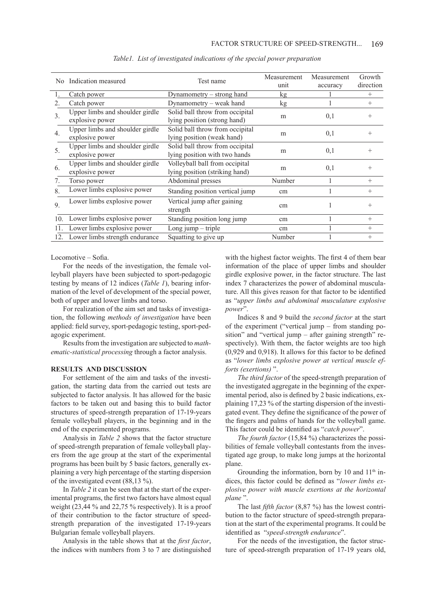| No.              | Indication measured                | Test name                       | Measurement | Measurement | Growth    |
|------------------|------------------------------------|---------------------------------|-------------|-------------|-----------|
|                  |                                    |                                 | unit        | accuracy    | direction |
|                  | Catch power                        | Dynamometry $-$ strong hand     | kg          |             | $\, +$    |
| 2.               | Catch power                        | Dynamometry – weak hand         | kg          |             | $^{+}$    |
| $\overline{3}$ . | Upper limbs and shoulder girdle    | Solid ball throw from occipital | m           | 0,1         |           |
|                  | explosive power                    | lying position (strong hand)    |             |             |           |
| $\overline{4}$ . | Upper limbs and shoulder girdle    | Solid ball throw from occipital | m           | 0,1         |           |
|                  | explosive power                    | lying position (weak hand)      |             |             |           |
| 5.               | Upper limbs and shoulder girdle    | Solid ball throw from occipital | m           | 0,1         |           |
|                  | explosive power                    | lying position with two hands   |             |             |           |
| 6.               | Upper limbs and shoulder girdle    | Volleyball ball from occipital  | m           | 0,1         | $^{+}$    |
|                  | explosive power                    | lying position (striking hand)  |             |             |           |
| 7.               | Torso power                        | Abdominal presses               | Number      |             | $^{+}$    |
| 8.               | Lower limbs explosive power        | Standing position vertical jump | cm          |             | $^{+}$    |
| 9.               | Lower limbs explosive power        | Vertical jump after gaining     | cm          |             |           |
|                  |                                    | strength                        |             |             |           |
| 10.              | Lower limbs explosive power        | Standing position long jump     | cm          |             | $^{+}$    |
| 11.              | Lower limbs explosive power        | Long jump $-$ triple            | cm          |             | $\, +$    |
|                  | 12. Lower limbs strength endurance | Squatting to give up            | Number      |             | $^{+}$    |

*Table1. List of investigated indications of the special power preparation*

Locomotive – Sofia.

For the needs of the investigation, the female volleyball players have been subjected to sport-pedagogic testing by means of 12 indices (*Table 1*), bearing information of the level of development of the special power, both of upper and lower limbs and torso.

For realization of the aim set and tasks of investigation, the following *methods of investigation* have been applied: field survey, sport-pedagogic testing, sport-pedagogic experiment.

Results from the investigation are subjected to *mathematic-statistical processing* through a factor analysis.

#### **RESULTS AND DISCUSSION**

For settlement of the aim and tasks of the investigation, the starting data from the carried out tests are subjected to factor analysis. It has allowed for the basic factors to be taken out and basing this to build factor structures of speed-strength preparation of 17-19-years female volleyball players, in the beginning and in the end of the experimented programs.

Analysis in *Table 2* shows that the factor structure of speed-strength preparation of female volleyball players from the age group at the start of the experimental programs has been built by 5 basic factors, generally explaining a very high percentage of the starting dispersion of the investigated event (88,13 %).

In *Table 2* it can be seen that at the start of the experimental programs, the first two factors have almost equal weight (23,44 % and 22,75 % respectively). It is a proof of their contribution to the factor structure of speedstrength preparation of the investigated 17-19-years Bulgarian female volleyball players.

Analysis in the table shows that at the *first factor*, the indices with numbers from 3 to 7 are distinguished

with the highest factor weights. The first 4 of them bear information of the place of upper limbs and shoulder girdle explosive power, in the factor structure. The last index 7 characterizes the power of abdominal musculature. All this gives reason for that factor to be identified as "*upper limbs and abdominal musculature explosive power*".

Indices 8 and 9 build the *second factor* at the start of the experiment ("vertical jump – from standing position" and "vertical jump – after gaining strength" respectively). With them, the factor weights are too high (0,929 and 0,918). It allows for this factor to be defined as "*lower limbs explosive power at vertical muscle efforts (exertions)* ".

*The third factor* of the speed-strength preparation of the investigated aggregate in the beginning of the experimental period, also is defined by 2 basic indications, explaining 17,23 % of the starting dispersion of the investigated event. They define the significance of the power of the fingers and palms of hands for the volleyball game. This factor could be identified as "*catch power*".

*The fourth factor* (15,84 %) characterizes the possibilities of female volleyball contestants from the investigated age group, to make long jumps at the horizontal plane.

Grounding the information, born by 10 and  $11<sup>th</sup>$  indices, this factor could be defined as "*lower limbs explosive power with muscle exertions at the horizontal plane* ".

The last *fifth factor* (8,87 %) has the lowest contribution to the factor structure of speed-strength preparation at the start of the experimental programs. It could be identified as "*speed-strength endurance*".

For the needs of the investigation, the factor structure of speed-strength preparation of 17-19 years old,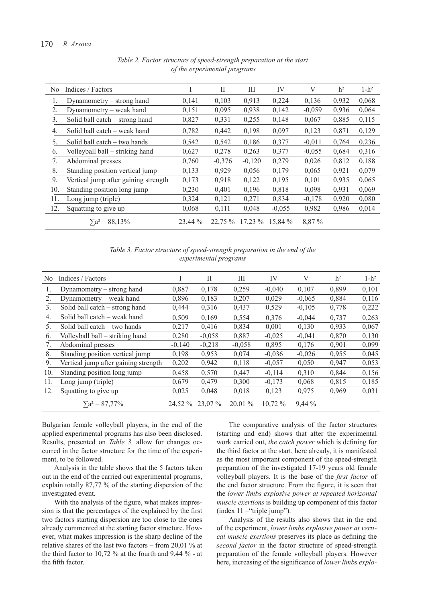| N <sub>0</sub> | Indices / Factors                    |         | Н        | Ш         | IV       | V        | h <sup>2</sup> | $1-h^2$ |
|----------------|--------------------------------------|---------|----------|-----------|----------|----------|----------------|---------|
| 1.             | Dynamometry – strong hand            | 0,141   | 0,103    | 0,913     | 0,224    | 0,136    | 0,932          | 0,068   |
| 2.             | Dynamometry – weak hand              | 0,151   | 0,095    | 0,938     | 0,142    | $-0,059$ | 0,936          | 0,064   |
| 3.             | Solid ball catch – strong hand       | 0,827   | 0,331    | 0,255     | 0,148    | 0,067    | 0,885          | 0,115   |
| 4.             | Solid ball catch - weak hand         | 0,782   | 0,442    | 0,198     | 0,097    | 0,123    | 0,871          | 0,129   |
| 5.             | Solid ball catch - two hands         | 0,542   | 0.542    | 0.186     | 0,377    | $-0.011$ | 0.764          | 0,236   |
| 6.             | Volleyball ball – striking hand      | 0,627   | 0,278    | 0,263     | 0,377    | $-0,055$ | 0,684          | 0,316   |
| 7.             | Abdominal presses                    | 0,760   | $-0,376$ | $-0,120$  | 0,279    | 0,026    | 0,812          | 0,188   |
| 8.             | Standing position vertical jump      | 0,133   | 0.929    | 0,056     | 0,179    | 0,065    | 0.921          | 0,079   |
| 9.             | Vertical jump after gaining strength | 0,173   | 0,918    | 0,122     | 0,195    | 0.101    | 0,935          | 0,065   |
| 10.            | Standing position long jump          | 0,230   | 0,401    | 0,196     | 0,818    | 0,098    | 0,931          | 0,069   |
| 11.            | Long jump (triple)                   | 0,324   | 0,121    | 0,271     | 0,834    | $-0,178$ | 0,920          | 0,080   |
| 12.            | Squatting to give up                 | 0,068   | 0,111    | 0,048     | $-0,055$ | 0,982    | 0,986          | 0,014   |
|                | $\sum a^2 = 88,13\%$                 | 23,44 % | 22,75 %  | $17,23\%$ | 15,84 %  | 8,87 %   |                |         |

*Table 2. Factor structure of speed-strength preparation at the start of the experimental programs*

*Table 3. Factor structure of speed-strength preparation in the end of the experimental programs*

| N <sub>0</sub> | Indices / Factors                    |          | Н        | Ш         | IV        | V        | h <sup>2</sup> | $1-h^2$ |
|----------------|--------------------------------------|----------|----------|-----------|-----------|----------|----------------|---------|
| 1.             | Dynamometry – strong hand            | 0,887    | 0,178    | 0,259     | $-0,040$  | 0,107    | 0,899          | 0,101   |
| 2.             | Dynamometry – weak hand              | 0,896    | 0,183    | 0,207     | 0,029     | $-0,065$ | 0,884          | 0,116   |
| 3.             | Solid ball catch - strong hand       | 0,444    | 0,316    | 0,437     | 0,529     | $-0,105$ | 0,778          | 0,222   |
| 4.             | Solid ball catch - weak hand         | 0,509    | 0,169    | 0,554     | 0,376     | $-0,044$ | 0,737          | 0,263   |
| 5.             | Solid ball catch – two hands         | 0,217    | 0,416    | 0.834     | 0,001     | 0,130    | 0,933          | 0,067   |
| 6.             | Volleyball ball – striking hand      | 0,280    | $-0,058$ | 0,887     | $-0,025$  | $-0,041$ | 0,870          | 0,130   |
| 7.             | Abdominal presses                    | $-0,140$ | $-0,218$ | $-0,058$  | 0,895     | 0,176    | 0,901          | 0,099   |
| 8.             | Standing position vertical jump      | 0,198    | 0,953    | 0,074     | $-0,036$  | $-0,026$ | 0,955          | 0,045   |
| 9.             | Vertical jump after gaining strength | 0,202    | 0,942    | 0,118     | $-0.057$  | 0,050    | 0,947          | 0,053   |
| 10.            | Standing position long jump          | 0,458    | 0,570    | 0,447     | $-0,114$  | 0,310    | 0,844          | 0,156   |
| 11.            | Long jump (triple)                   | 0,679    | 0,479    | 0,300     | $-0,173$  | 0,068    | 0,815          | 0,185   |
| 12.            | Squatting to give up                 | 0,025    | 0,048    | 0,018     | 0,123     | 0,975    | 0,969          | 0,031   |
|                | $\sum a^2 = 87,77\%$                 | 24.52 %  | 23,07 %  | $20,01\%$ | $10,72\%$ | $9,44\%$ |                |         |
|                |                                      |          |          |           |           |          |                |         |

Bulgarian female volleyball players, in the end of the applied experimental programs has also been disclosed. Results, presented on *Table 3,* allow for changes occurred in the factor structure for the time of the experiment, to be followed.

Analysis in the table shows that the 5 factors taken out in the end of the carried out experimental programs, explain totally 87,77 % of the starting dispersion of the investigated event.

With the analysis of the figure, what makes impression is that the percentages of the explained by the first two factors starting dispersion are too close to the ones already commented at the starting factor structure. However, what makes impression is the sharp decline of the relative shares of the last two factors – from 20,01 % at the third factor to 10,72 % at the fourth and  $9.44$  % - at the fifth factor.

The comparative analysis of the factor structures (starting and end) shows that after the experimental work carried out, *the catch power* which is defining for the third factor at the start, here already, it is manifested as the most important component of the speed-strength preparation of the investigated 17-19 years old female volleyball players. It is the base of the *first factor* of the end factor structure. From the figure, it is seen that the *lower limbs explosive power at repeated horizontal muscle exertions* is building up component of this factor (index 11 –"triple jump").

Analysis of the results also shows that in the end of the experiment, *lower limbs explosive power at vertical muscle exertions* preserves its place as defining the *second factor* in the factor structure of speed-strength preparation of the female volleyball players. However here, increasing of the significance of *lower limbs explo-*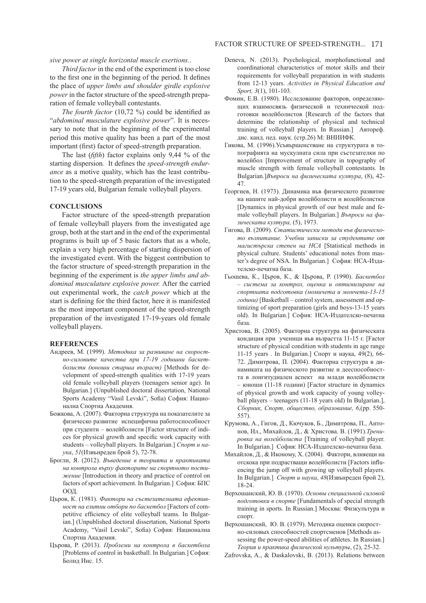*sive power at single horizontal muscle exertions.*.

*Third factor* in the end of the experiment is too close to the first one in the beginning of the period. It defines the place of *upper limbs and shoulder girdle explosive power* in the factor structure of the speed-strength preparation of female volleyball contestants.

*The fourth factor* (10,72 %) could be identified as "*abdominal musculature explosive power*". It is necessary to note that in the beginning of the experimental period this motive quality has been a part of the most important (first) factor of speed-strength preparation.

The last (*fifth*) factor explains only 9,44 % of the starting dispersion*.* It defines the *speed-strength endurance* as a motive quality, which has the least contribution to the speed-strength preparation of the investigated 17-19 years old, Bulgarian female volleyball players.

#### **CONCLUSIONS**

Factor structure of the speed-strength preparation of female volleyball players from the investigated age group, both at the start and in the end of the experimental programs is built up of 5 basic factors that as a whole, explain a very high percentage of starting dispersion of the investigated event. With the biggest contribution to the factor structure of speed-strength preparation in the beginning of the experiment is *the upper limbs and abdominal musculature explosive power.* After the carried out experimental work, the *catch power* which at the start is defining for the third factor, here it is manifested as the most important component of the speed-strength preparation of the investigated 17-19-years old female volleyball players.

#### **REFERENCES**

- Андреев, М. (1999). *Методика за развиване на скоростно-силовите качества при 17-19 годишни баскетболисти (юноши старша възраст)* [Methods for development of speed-strength qualities with 17-19 years old female volleyball players (teenagers senior age). In Bulgarian.] (Unpublished doctoral dissertation, National Sports Academy "Vasil Levski", Sofia) София: Национална Спортна Академия.
- Божкова, А. (2007). Факторна структура на показателите за физическо развитие испецифична работоспособност при студенти – волейболисти [Factor structure of indices for physical growth and specific work capacity with students – volleyball players. In Bulgarian.] *Спорт и наука*, *51*(Извънреден брой 5), 72-78.
- Брогли, Я. (2012). *Въведение в теорията и практиката на контрола върху факторите на спортното постижение* [Introduction in theory and practice of control on factors of sport achievement. In Bulgarian.] София: БПС ООД.
- Църов, К. (1981). *Фактори на състезателната ефективност на елитни отбори по баскетбол* [Factors of competitive efficiency of elite volleyball teams. In Bulgarian.] (Unpublished doctoral dissertation, National Sports Academy, "Vasil Levski", Sofia) София: Национална Спортна Академия.
- Църова, Р. (2013). *Проблеми на контрола в баскетбола* [Problems of control in basketball. In Bulgarian.] София: Болид Инс. 15.
- Deneva, N. (2013). Psychological, morphofunctional and coordinational characteristics of motor skills and their requirements for volleyball preparation in with students from 12-13 years. *Activities in Physical Education and Sport, 3*(1), 101-103.
- Фомин, Е.В. (1980). Исследование факторов, определяющих взаимосвязь физической и технической подготовки волейболистов [Research of the factors that determine the relationship of physical and technical training of volleyball players. In Russian.] Автореф. дис. канд. пед. наук. (стр.26) М: ВНИИФК.
- Гикова, М. (1996).Усъвършенстване на структурата в топографията на мускулната сила при състезателки по волейбол [Improvement of structure in topography of muscle strength with female volleyball contestants. In Bulgarian.]*Въпроси на физическата култура*, (8), 42- 47.
- Георгиев, Н. (1973). Динамика във физическото развитие на нашите най-добри волейболисти и волейболистки [Dynamics in physical growth of our best male and female volleyball players. In Bulgarian.] *Въпроси на физическата култура,* (5), 1973.
- Гигова, В. (2009). *Статистически методи във физическото възпитание. Учебни записки за студентите от магистърска степен на НСА* [Statistical methods in physical culture. Students' educational notes from master's degree of NSA. In Bulgarian.] София: НСА-Издателско-печатна база.
- Гьошева, К., Църов, К., & Църова, Р. (1990). *Баскетбол – система за контрол, оценка и оптимизиране на спортната подготовка (момичета и момчета-13-15 години)* [Basketball – control system, assessment and optimizing of sport preparation (girls and boys-13-15 years old). In Bulgarian.] София: НСА-Издателско-печатна база.
- Христова, В. (2005). Факторна структура на физическата кондиция при ученици във възрастта 11-15 г. [Factor structure of physical condition with students in age range 11-15 years . In Bulgarian.] Спорт и наука, 49(2), 66- 72. Димитрова, П. (2004). Факторна структура в динамиката на физическото развитие и дееспособността в лонгитудиален аспект на млади волейболисти – юноши (11-18 години) [Factor structure in dynamics of physical growth and work capacity of young volleyball players – teenagers (11-18 years old) In Bulgarian.], *Сборник, Спорт, общество, образование, 6*,(pp. 550- 557).
- Крумова, А., Гигов, Д., Кючуков, Б., Димитрова, П., Антонов, Ил., Михайлов, Д., & Христова. В. (1991).*Тренировка на волейболиста* [Training of volleyball player. In Bulgarian.] София: НСА-Издателско-печатна база.
- Михайлов, Д., & Иконому, Х. (2004). Фактори, влияещи на отскока при подрастващи волейболисти [Factors influencing the jump off with growing up volleyball players. In Bulgarian.] *Спорт и наука*, *48*(Извънреден брой 2), 18-24.
- Верхошанский, Ю. В. (1970). *Основы специальной силовой подготовки в спорте* [Fundamentals of special strength training in sports. In Russian.] Москва: Физкулътура и спорт.

Верхошанский, Ю. В. (1979). Методика оценки скоростно-силовых способностей спортсменов [Methods assessing the power-speed abilities of athletes. In Russian.] *Теория и практика физической нультуры*, (2), 25-32.

Zafrovska, A., & Daskalovski, B. (2013). Relations between